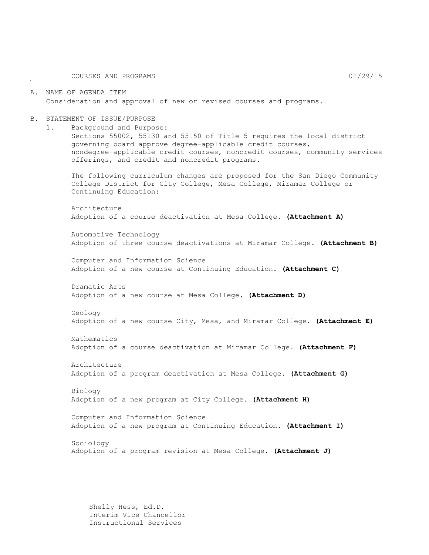COURSES AND PROGRAMS 01/29/15

#### A. NAME OF AGENDA ITEM Consideration and approval of new or revised courses and programs.

#### B. STATEMENT OF ISSUE/PURPOSE

1. Background and Purpose:

Sections 55002, 55130 and 55150 of Title 5 requires the local district governing board approve degree-applicable credit courses, nondegree-applicable credit courses, noncredit courses, community services offerings, and credit and noncredit programs.

The following curriculum changes are proposed for the San Diego Community College District for City College, Mesa College, Miramar College or Continuing Education:

Architecture Adoption of a course deactivation at Mesa College. **(Attachment A)**

Automotive Technology Adoption of three course deactivations at Miramar College. **(Attachment B)**

Computer and Information Science Adoption of a new course at Continuing Education. **(Attachment C)**

Dramatic Arts Adoption of a new course at Mesa College. **(Attachment D)**

Geology Adoption of a new course City, Mesa, and Miramar College. **(Attachment E)**

Mathematics Adoption of a course deactivation at Miramar College. **(Attachment F)**

Architecture Adoption of a program deactivation at Mesa College. **(Attachment G)**

Biology Adoption of a new program at City College. **(Attachment H)**

Computer and Information Science Adoption of a new program at Continuing Education. **(Attachment I)**

Sociology Adoption of a program revision at Mesa College. **(Attachment J)**

Shelly Hess, Ed.D. Interim Vice Chancellor Instructional Services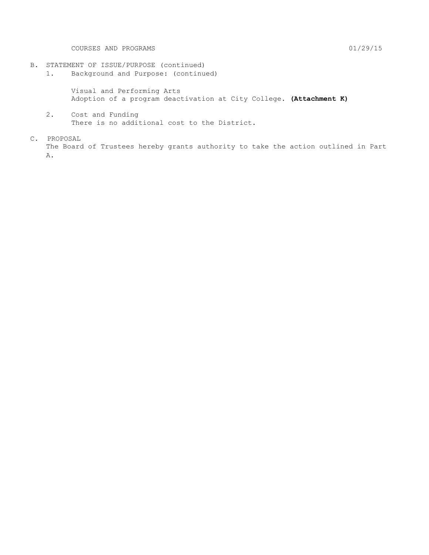COURSES AND PROGRAMS 01/29/15

- B. STATEMENT OF ISSUE/PURPOSE (continued)
	- 1. Background and Purpose: (continued)

Visual and Performing Arts Adoption of a program deactivation at City College. **(Attachment K)**

- 2. Cost and Funding There is no additional cost to the District.
- C. PROPOSAL The Board of Trustees hereby grants authority to take the action outlined in Part A.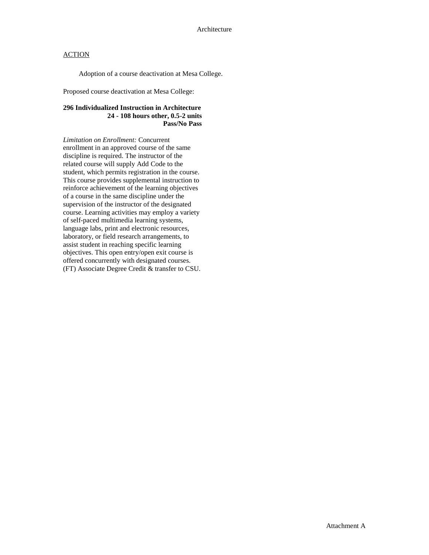Adoption of a course deactivation at Mesa College.

Proposed course deactivation at Mesa College:

### **296 Individualized Instruction in Architecture 24 - 108 hours other, 0.5-2 units Pass/No Pass**

*Limitation on Enrollment:* Concurrent enrollment in an approved course of the same discipline is required. The instructor of the related course will supply Add Code to the student, which permits registration in the course. This course provides supplemental instruction to reinforce achievement of the learning objectives of a course in the same discipline under the supervision of the instructor of the designated course. Learning activities may employ a variety of self-paced multimedia learning systems, language labs, print and electronic resources, laboratory, or field research arrangements, to assist student in reaching specific learning objectives. This open entry/open exit course is offered concurrently with designated courses. (FT) Associate Degree Credit & transfer to CSU.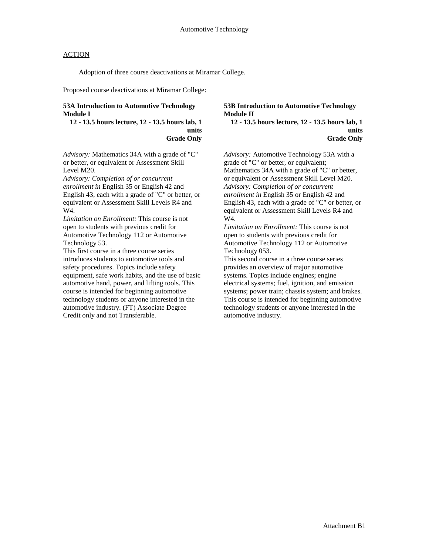Adoption of three course deactivations at Miramar College.

Proposed course deactivations at Miramar College:

#### **53A Introduction to Automotive Technology Module I**

#### **12 - 13.5 hours lecture, 12 - 13.5 hours lab, 1 units Grade Only**

*Advisory:* Mathematics 34A with a grade of "C" or better, or equivalent or Assessment Skill Level M20.

*Advisory: Completion of or concurrent enrollment in* English 35 or English 42 and English 43, each with a grade of "C" or better, or equivalent or Assessment Skill Levels R4 and W4.

*Limitation on Enrollment:* This course is not open to students with previous credit for Automotive Technology 112 or Automotive Technology 53.

This first course in a three course series introduces students to automotive tools and safety procedures. Topics include safety equipment, safe work habits, and the use of basic automotive hand, power, and lifting tools. This course is intended for beginning automotive technology students or anyone interested in the automotive industry. (FT) Associate Degree Credit only and not Transferable.

#### **53B Introduction to Automotive Technology Module II**

**12 - 13.5 hours lecture, 12 - 13.5 hours lab, 1 units Grade Only**

*Advisory:* Automotive Technology 53A with a grade of "C" or better, or equivalent; Mathematics 34A with a grade of "C" or better, or equivalent or Assessment Skill Level M20. *Advisory: Completion of or concurrent enrollment in* English 35 or English 42 and English 43, each with a grade of "C" or better, or equivalent or Assessment Skill Levels R4 and W4.

*Limitation on Enrollment:* This course is not open to students with previous credit for Automotive Technology 112 or Automotive Technology 053.

This second course in a three course series provides an overview of major automotive systems. Topics include engines; engine electrical systems; fuel, ignition, and emission systems; power train; chassis system; and brakes. This course is intended for beginning automotive technology students or anyone interested in the automotive industry.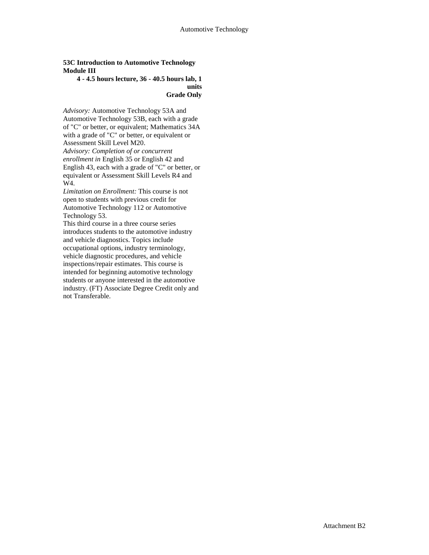### **53C Introduction to Automotive Technology Module III**

### **4 - 4.5 hours lecture, 36 - 40.5 hours lab, 1 units Grade Only**

*Advisory:* Automotive Technology 53A and Automotive Technology 53B, each with a grade of "C" or better, or equivalent; Mathematics 34A with a grade of "C" or better, or equivalent or Assessment Skill Level M20. *Advisory: Completion of or concurrent enrollment in* English 35 or English 42 and English 43, each with a grade of "C" or better, or equivalent or Assessment Skill Levels R4 and W4.

*Limitation on Enrollment:* This course is not open to students with previous credit for Automotive Technology 112 or Automotive Technology 53.

This third course in a three course series introduces students to the automotive industry and vehicle diagnostics. Topics include occupational options, industry terminology, vehicle diagnostic procedures, and vehicle inspections/repair estimates. This course is intended for beginning automotive technology students or anyone interested in the automotive industry. (FT) Associate Degree Credit only and not Transferable.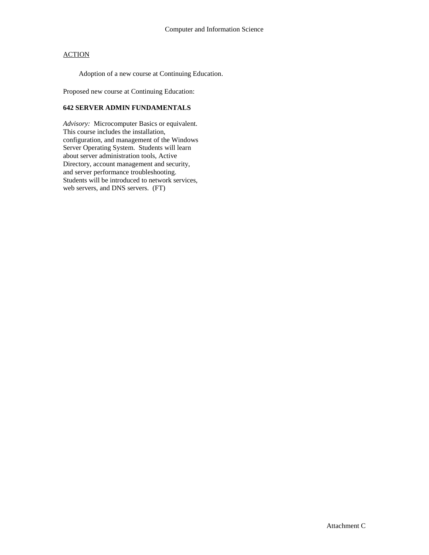Adoption of a new course at Continuing Education.

Proposed new course at Continuing Education:

### **642 SERVER ADMIN FUNDAMENTALS**

*Advisory:* Microcomputer Basics or equivalent. This course includes the installation, configuration, and management of the Windows Server Operating System. Students will learn about server administration tools, Active Directory, account management and security, and server performance troubleshooting. Students will be introduced to network services, web servers, and DNS servers. (FT)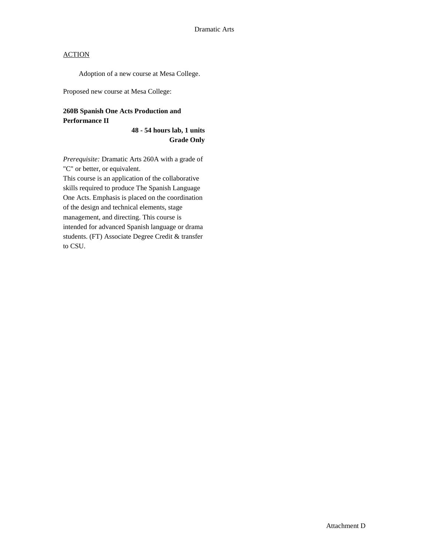Adoption of a new course at Mesa College.

Proposed new course at Mesa College:

## **260B Spanish One Acts Production and Performance II**

**48 - 54 hours lab, 1 units Grade Only**

*Prerequisite:* Dramatic Arts 260A with a grade of "C" or better, or equivalent.

This course is an application of the collaborative skills required to produce The Spanish Language One Acts. Emphasis is placed on the coordination of the design and technical elements, stage management, and directing. This course is intended for advanced Spanish language or drama students. (FT) Associate Degree Credit & transfer to CSU.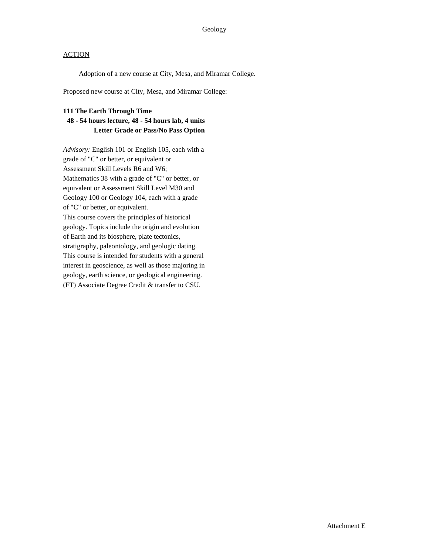Adoption of a new course at City, Mesa, and Miramar College.

Proposed new course at City, Mesa, and Miramar College:

### **111 The Earth Through Time**

## **48 - 54 hours lecture, 48 - 54 hours lab, 4 units Letter Grade or Pass/No Pass Option**

*Advisory:* English 101 or English 105, each with a grade of "C" or better, or equivalent or Assessment Skill Levels R6 and W6; Mathematics 38 with a grade of "C" or better, or equivalent or Assessment Skill Level M30 and Geology 100 or Geology 104, each with a grade of "C" or better, or equivalent. This course covers the principles of historical geology. Topics include the origin and evolution of Earth and its biosphere, plate tectonics, stratigraphy, paleontology, and geologic dating. This course is intended for students with a general interest in geoscience, as well as those majoring in geology, earth science, or geological engineering. (FT) Associate Degree Credit & transfer to CSU.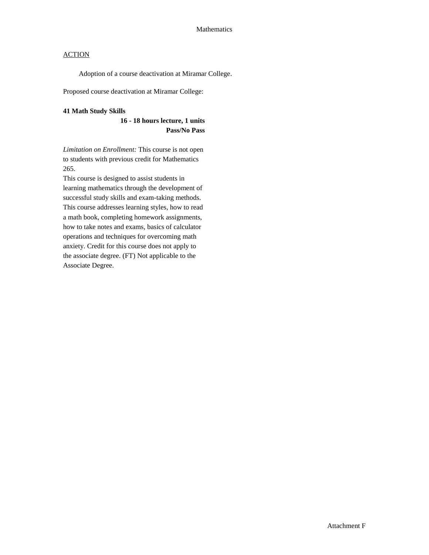Adoption of a course deactivation at Miramar College.

Proposed course deactivation at Miramar College:

### **41 Math Study Skills**

### **16 - 18 hours lecture, 1 units Pass/No Pass**

*Limitation on Enrollment:* This course is not open to students with previous credit for Mathematics 265.

This course is designed to assist students in learning mathematics through the development of successful study skills and exam-taking methods. This course addresses learning styles, how to read a math book, completing homework assignments, how to take notes and exams, basics of calculator operations and techniques for overcoming math anxiety. Credit for this course does not apply to the associate degree. (FT) Not applicable to the Associate Degree.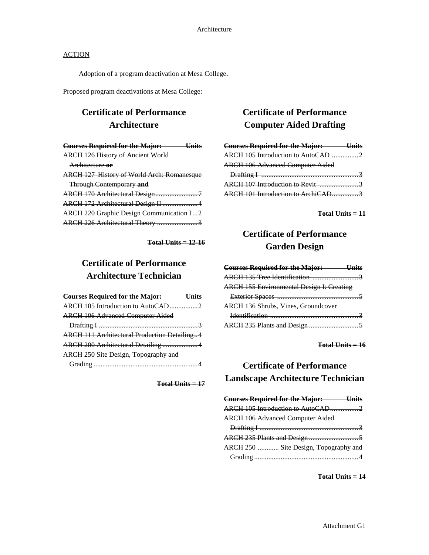Adoption of a program deactivation at Mesa College.

Proposed program deactivations at Mesa College:

## **Certificate of Performance Architecture**

| <b>Courses Required for the Major:</b> Units      |
|---------------------------------------------------|
| <b>ARCH 126 History of Ancient World</b>          |
| Architecture or                                   |
| <b>ARCH 127 History of World Arch: Romanesque</b> |
| <b>Through Contemporary and</b>                   |
|                                                   |
| ARCH 172 Architectural Design II 4                |
| <b>ARCH 220 Graphic Design Communication I2</b>   |
| ARCH 226 Architectural Theory 3                   |

**Total Units = 12-16**

# **Certificate of Performance Architecture Technician**

| <b>Courses Required for the Major:</b>              | <b>Units</b> |
|-----------------------------------------------------|--------------|
| ARCH 105 Introduction to AutoCAD2                   |              |
| <b>ARCH 106 Advanced Computer Aided</b>             |              |
|                                                     |              |
| <b>ARCH 111 Architectural Production Detailing4</b> |              |
| ARCH 200 Architectural Detailing 4                  |              |
| ARCH 250 Site Design, Topography and                |              |
|                                                     |              |

**Total Units = 17**

## **Certificate of Performance Computer Aided Drafting**

| <b>Courses Required for the Major: Units</b> |  |
|----------------------------------------------|--|
| ARCH 105 Introduction to AutoCAD 2           |  |
| <b>ARCH 106 Advanced Computer Aided</b>      |  |
|                                              |  |
|                                              |  |
| <b>ARCH 107 Introduction to Revit</b> 3      |  |

**Total Units = 11**

## **Certificate of Performance Garden Design**

| <b>Courses Required for the Major: Units</b>     |  |
|--------------------------------------------------|--|
| ARCH 135 Tree Identification 3                   |  |
| <b>ARCH 155 Environmental Design I: Creating</b> |  |
|                                                  |  |
| <b>ARCH 136 Shrubs, Vines, Groundcover</b>       |  |
|                                                  |  |
|                                                  |  |
|                                                  |  |

**Total Units = 16**

## **Certificate of Performance Landscape Architecture Technician**

| <b>Courses Required for the Major: Units</b> |  |
|----------------------------------------------|--|
| ARCH 105 Introduction to AutoCAD2            |  |
| <b>ARCH 106 Advanced Computer Aided</b>      |  |
|                                              |  |
|                                              |  |
| ARCH 250  Site Design, Topography and        |  |
|                                              |  |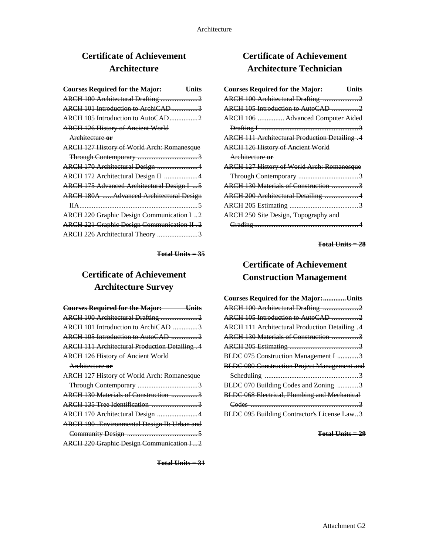# **Certificate of Achievement Architecture**

| <b>Courses Required for the Major: Units</b>      |
|---------------------------------------------------|
| ARCH 100 Architectural Drafting 2                 |
| ARCH 101 Introduction to ArchiCAD3                |
| ARCH 105 Introduction to AutoCAD2                 |
| <b>ARCH 126 History of Ancient World</b>          |
| Architecture or                                   |
| <b>ARCH 127 History of World Arch: Romanesque</b> |
|                                                   |
| ARCH 170 Architectural Design 4                   |
| ARCH 172 Architectural Design II 4                |
| ARCH 175 Advanced Architectural Design I  5       |
| <b>ARCH 180A Advanced Architectural Design</b>    |
|                                                   |
| <b>ARCH 220 Graphic Design Communication I2</b>   |
| ARCH 221 Graphic Design Communication II .2       |
| ARCH 226 Architectural Theory 3                   |

**Total Units = 35**

# **Certificate of Achievement Architecture Survey**

**Total Units = 31**

# **Certificate of Achievement Architecture Technician**

| <b>Courses Required for the Major:</b> Units      |
|---------------------------------------------------|
| ARCH 100 Architectural Drafting 2                 |
| ARCH 105 Introduction to AutoCAD 2                |
| ARCH 106  Advanced Computer Aided                 |
|                                                   |
| ARCH 111 Architectural Production Detailing .4    |
| <b>ARCH 126 History of Ancient World</b>          |
| Architecture or                                   |
| <b>ARCH 127 History of World Arch: Romanesque</b> |
|                                                   |
| ARCH 130 Materials of Construction 3              |
| ARCH 200 Architectural Detailing 4                |
|                                                   |
| <b>ARCH 250 Site Design, Topography and</b>       |
|                                                   |

**Total Units = 28**

# **Certificate of Achievement Construction Management**

| <b>Courses Required for the Major:</b> Units        |
|-----------------------------------------------------|
| ARCH 100 Architectural Drafting 2                   |
| ARCH 105 Introduction to AutoCAD 2                  |
| ARCH 111 Architectural Production Detailing .4      |
| ARCH 130 Materials of Construction 3                |
|                                                     |
| BLDC 075 Construction Management I 3                |
| <b>BLDC 080 Construction Project Management and</b> |
|                                                     |
| BLDC 070 Building Codes and Zoning 3                |
| <b>BLDC 068 Electrical, Plumbing and Mechanical</b> |
|                                                     |
| BLDC 095 Building Contractor's License Law3         |
|                                                     |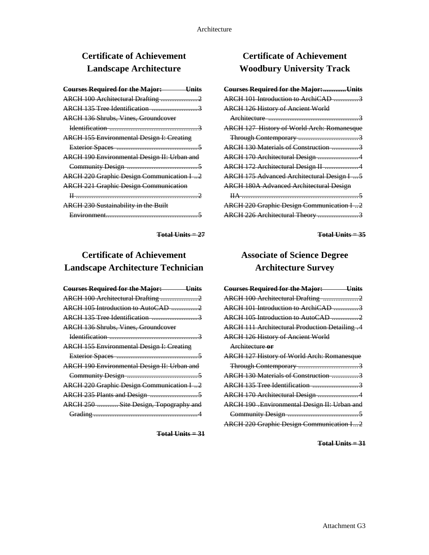# **Certificate of Achievement Landscape Architecture**

**Total Units = 27**

# **Certificate of Achievement Landscape Architecture Technician**

| <b>Courses Required for the Major:</b> Units     |
|--------------------------------------------------|
| ARCH 100 Architectural Drafting 2                |
| ARCH 105 Introduction to AutoCAD 2               |
| ARCH 135 Tree Identification 3                   |
| <b>ARCH 136 Shrubs, Vines, Groundcover</b>       |
|                                                  |
| <b>ARCH 155 Environmental Design I: Creating</b> |
|                                                  |
| ARCH 190 Environmental Design II: Urban and      |
|                                                  |
| <b>ARCH 220 Graphic Design Communication I2</b>  |
|                                                  |
| ARCH 250  Site Design, Topography and            |
|                                                  |

**Total Units = 31**

# **Certificate of Achievement Woodbury University Track**

| <b>Courses Required for the Major:</b> Units      |
|---------------------------------------------------|
| ARCH 101 Introduction to ArchiCAD 3               |
| <b>ARCH 126 History of Ancient World</b>          |
|                                                   |
| <b>ARCH 127 History of World Arch: Romanesque</b> |
|                                                   |
| ARCH 130 Materials of Construction 3              |
| ARCH 170 Architectural Design 4                   |
| ARCH 172 Architectural Design II 4                |
| ARCH 175 Advanced Architectural Design I  5       |
| <b>ARCH 180A Advanced Architectural Design</b>    |
|                                                   |
| <b>ARCH 220 Graphic Design Communication I2</b>   |
| ARCH 226 Architectural Theory 3                   |

**Total Units = 35**

# **Associate of Science Degree Architecture Survey**

| <b>Courses Required for the Major: Units</b>      |
|---------------------------------------------------|
| ARCH 100 Architectural Drafting 2                 |
| ARCH 101 Introduction to ArchiCAD 3               |
| ARCH 105 Introduction to AutoCAD 2                |
| ARCH 111 Architectural Production Detailing .4    |
| <b>ARCH 126 History of Ancient World</b>          |
| Architecture or                                   |
| <b>ARCH 127 History of World Arch: Romanesque</b> |
|                                                   |
| ARCH 130 Materials of Construction 3              |
| ARCH 135 Tree Identification 3                    |
| ARCH 170 Architectural Design 4                   |
| ARCH 190 .Environmental Design II: Urban and      |
|                                                   |
| <b>ARCH 220 Graphic Design Communication I2</b>   |
|                                                   |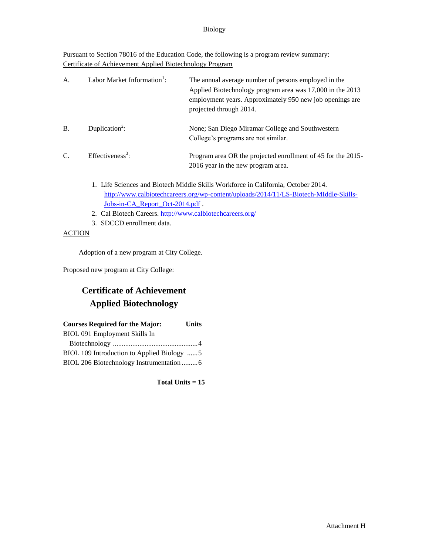### Biology

Pursuant to Section 78016 of the Education Code, the following is a program review summary: Certificate of Achievement Applied Biotechnology Program

| A <sub>1</sub> | Labor Market Information <sup>1</sup> : | The annual average number of persons employed in the<br>Applied Biotechnology program area was 17,000 in the 2013<br>employment years. Approximately 950 new job openings are<br>projected through 2014. |
|----------------|-----------------------------------------|----------------------------------------------------------------------------------------------------------------------------------------------------------------------------------------------------------|
| <b>B.</b>      | Duplication <sup>2</sup> :              | None; San Diego Miramar College and Southwestern<br>College's programs are not similar.                                                                                                                  |
| C.             | Effectiveness <sup>3</sup> :            | Program area OR the projected enrollment of 45 for the 2015-<br>2016 year in the new program area.                                                                                                       |

- 1. Life Sciences and Biotech Middle Skills Workforce in California, October 2014. [http://www.calbiotechcareers.org/wp-content/uploads/2014/11/LS-Biotech-MIddle-Skills-](http://www.calbiotechcareers.org/wp-content/uploads/2014/11/LS-Biotech-MIddle-Skills-Jobs-in-CA_Report_Oct-2014.pdf)[Jobs-in-CA\\_Report\\_Oct-2014.pdf](http://www.calbiotechcareers.org/wp-content/uploads/2014/11/LS-Biotech-MIddle-Skills-Jobs-in-CA_Report_Oct-2014.pdf) .
- 2. Cal Biotech Careers.<http://www.calbiotechcareers.org/>
- 3. SDCCD enrollment data.

### **ACTION**

Adoption of a new program at City College.

Proposed new program at City College:

# **Certificate of Achievement Applied Biotechnology**

| <b>Courses Required for the Major:</b>     | <b>Units</b> |
|--------------------------------------------|--------------|
| BIOL 091 Employment Skills In              |              |
|                                            |              |
| BIOL 109 Introduction to Applied Biology 5 |              |
|                                            |              |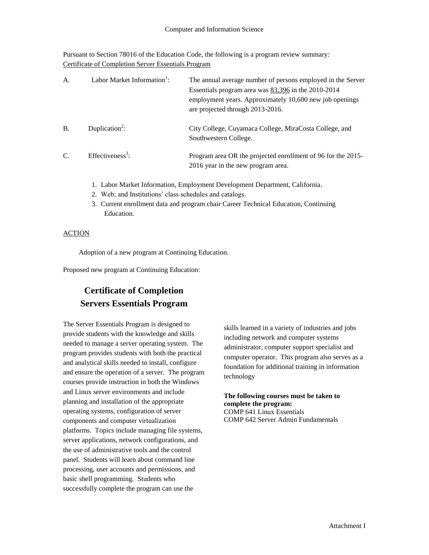Pursuant to Section 78016 of the Education Code, the following is a program review summary: Certificate of Completion Server Essentials Program

| A <sub>1</sub> | Labor Market Information <sup>1</sup> : | The annual average number of persons employed in the Server<br>Essentials program area was $83,396$ in the 2010-2014<br>employment years. Approximately 10,600 new job openings<br>are projected through 2013-2016. |
|----------------|-----------------------------------------|---------------------------------------------------------------------------------------------------------------------------------------------------------------------------------------------------------------------|
| <b>B.</b>      | Duplication <sup>2</sup> :              | City College, Cuyamaca College, MiraCosta College, and<br>Southwestern College.                                                                                                                                     |
| $\mathcal{C}$  | Effectiveness <sup>3</sup> :            | Program area OR the projected enrollment of 96 for the 2015-<br>2016 year in the new program area.                                                                                                                  |

- 1. Labor Market Information, Employment Development Department, California.
- 2. Web; and Institutions' class schedules and catalogs.
- 3. Current enrollment data and program chair Career Technical Education, Continuing Education.

### ACTION

Adoption of a new program at Continuing Education.

Proposed new program at Continuing Education:

## **Certificate of Completion Servers Essentials Program**

The Server Essentials Program is designed to provide students with the knowledge and skills needed to manage a server operating system. The program provides students with both the practical and analytical skills needed to install, configure and ensure the operation of a server. The program courses provide instruction in both the Windows and Linux server environments and include planning and installation of the appropriate operating systems, configuration of server components and computer virtualization platforms. Topics include managing file systems, server applications, network configurations, and the use of administrative tools and the control panel. Students will learn about command line processing, user accounts and permissions, and basic shell programming. Students who successfully complete the program can use the

skills learned in a variety of industries and jobs including network and computer systems administrator, computer support specialist and computer operator. This program also serves as a foundation for additional training in information technology

## **The following courses must be taken to complete the program:**  COMP 641 Linux Essentials

COMP 642 Server Admin Fundamentals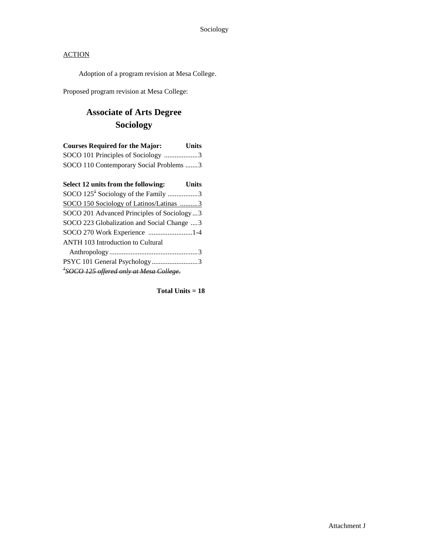Adoption of a program revision at Mesa College.

Proposed program revision at Mesa College:

# **Associate of Arts Degree Sociology**

| <b>Courses Required for the Major:</b>  | <b>Units</b> |
|-----------------------------------------|--------------|
| SOCO 101 Principles of Sociology 3      |              |
| SOCO 110 Contemporary Social Problems 3 |              |

| Select 12 units from the following:<br><b>Units</b> |  |
|-----------------------------------------------------|--|
| SOCO 125 <sup>+</sup> Sociology of the Family 3     |  |
| SOCO 150 Sociology of Latinos/Latinas 3             |  |
| SOCO 201 Advanced Principles of Sociology3          |  |
| SOCO 223 Globalization and Social Change  3         |  |
| SOCO 270 Work Experience 1-4                        |  |
| <b>ANTH 103 Introduction to Cultural</b>            |  |
|                                                     |  |
| PSYC 101 General Psychology3                        |  |
| <sup>+</sup> SOCO 125 offered only at Mesa College. |  |